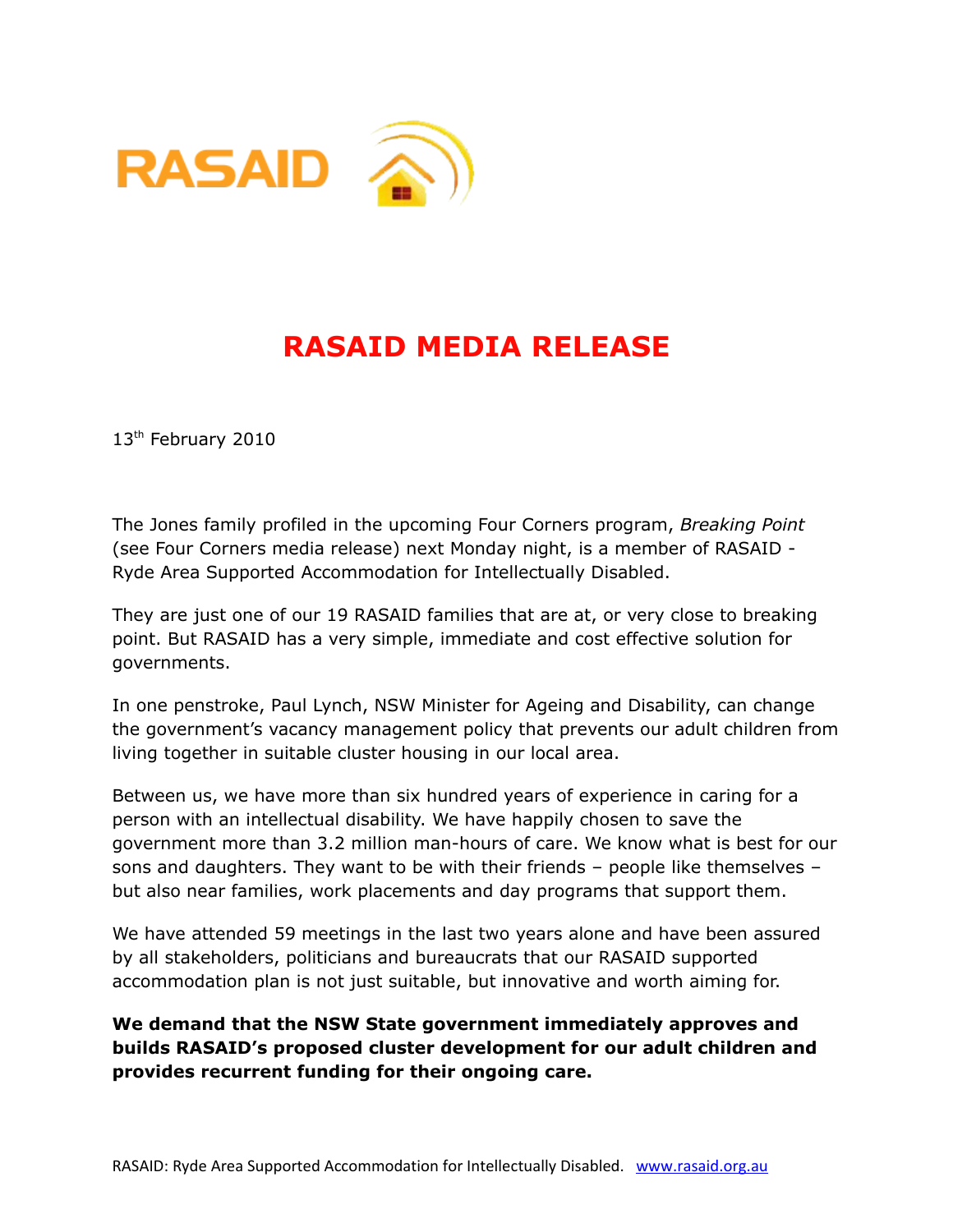



## **RASAID MEDIA RELEASE**

13<sup>th</sup> February 2010

The Jones family profiled in the upcoming Four Corners program, *Breaking Point* (see Four Corners media release) next Monday night, is a member of RASAID - Ryde Area Supported Accommodation for Intellectually Disabled.

They are just one of our 19 RASAID families that are at, or very close to breaking point. But RASAID has a very simple, immediate and cost effective solution for governments.

In one penstroke, Paul Lynch, NSW Minister for Ageing and Disability, can change the government's vacancy management policy that prevents our adult children from living together in suitable cluster housing in our local area.

Between us, we have more than six hundred years of experience in caring for a person with an intellectual disability. We have happily chosen to save the government more than 3.2 million man-hours of care. We know what is best for our sons and daughters. They want to be with their friends – people like themselves – but also near families, work placements and day programs that support them.

We have attended 59 meetings in the last two years alone and have been assured by all stakeholders, politicians and bureaucrats that our RASAID supported accommodation plan is not just suitable, but innovative and worth aiming for.

**We demand that the NSW State government immediately approves and builds RASAID's proposed cluster development for our adult children and provides recurrent funding for their ongoing care.**